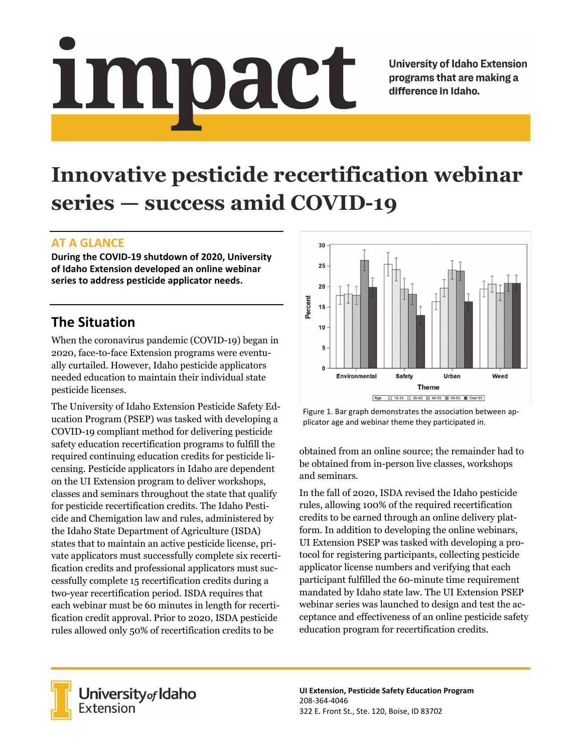# Impact

**University of Idaho Extension** programs that are making a difference in Idaho.

# **Innovative pesticide recertification webinar series — success amid COVID-19**

### **AT A GLANCE**

**During the COVID‐19 shutdown of 2020, University of Idaho Extension developed an online webinar series to address pesticide applicator needs.**

## **The Situation**

When the coronavirus pandemic (COVID-19) began in 2020, face-to-face Extension programs were eventually curtailed. However, Idaho pesticide applicators needed education to maintain their individual state pesticide licenses.

The University of Idaho Extension Pesticide Safety Education Program (PSEP) was tasked with developing a COVID-19 compliant method for delivering pesticide safety education recertification programs to fulfill the required continuing education credits for pesticide licensing. Pesticide applicators in Idaho are dependent on the UI Extension program to deliver workshops, classes and seminars throughout the state that qualify for pesticide recertification credits. The Idaho Pesticide and Chemigation law and rules, administered by the Idaho State Department of Agriculture (ISDA) states that to maintain an active pesticide license, private applicators must successfully complete six recertification credits and professional applicators must successfully complete 15 recertification credits during a two-year recertification period. ISDA requires that each webinar must be 60 minutes in length for recertification credit approval. Prior to 2020, ISDA pesticide rules allowed only 50% of recertification credits to be



Figure 1. Bar graph demonstrates the association between ap‐ plicator age and webinar theme they participated in.

obtained from an online source; the remainder had to be obtained from in-person live classes, workshops and seminars.

In the fall of 2020, ISDA revised the Idaho pesticide rules, allowing 100% of the required recertification credits to be earned through an online delivery platform. In addition to developing the online webinars, UI Extension PSEP was tasked with developing a protocol for registering participants, collecting pesticide applicator license numbers and verifying that each participant fulfilled the 60-minute time requirement mandated by Idaho state law. The UI Extension PSEP webinar series was launched to design and test the acceptance and effectiveness of an online pesticide safety education program for recertification credits.



University<sub>of</sub> Idaho Extension

**UI Extension, Pesticide Safety Education Program** 208‐364‐4046 322 E. Front St., Ste. 120, Boise, ID 83702